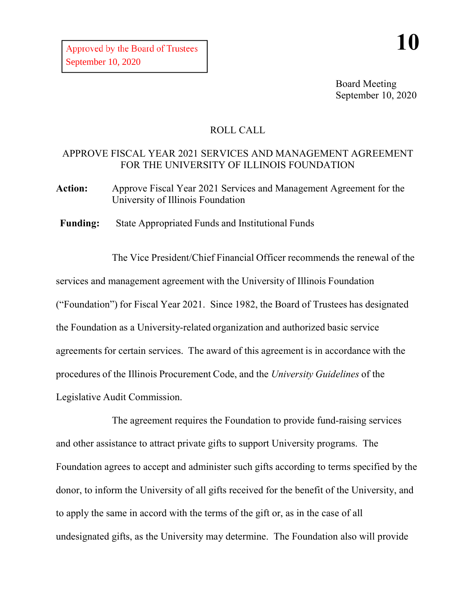Board Meeting September 10, 2020

## ROLL CALL

## APPROVE FISCAL YEAR 2021 SERVICES AND MANAGEMENT AGREEMENT FOR THE UNIVERSITY OF ILLINOIS FOUNDATION

**Action:** Approve Fiscal Year 2021 Services and Management Agreement for the University of Illinois Foundation

**Funding:** State Appropriated Funds and Institutional Funds

The Vice President/Chief Financial Officer recommends the renewal of the services and management agreement with the University of Illinois Foundation ("Foundation") for Fiscal Year 2021. Since 1982, the Board of Trustees has designated the Foundation as a University-related organization and authorized basic service agreements for certain services. The award of this agreement is in accordance with the procedures of the Illinois Procurement Code, and the *University Guidelines* of the Legislative Audit Commission.

The agreement requires the Foundation to provide fund-raising services and other assistance to attract private gifts to support University programs. The Foundation agrees to accept and administer such gifts according to terms specified by the donor, to inform the University of all gifts received for the benefit of the University, and to apply the same in accord with the terms of the gift or, as in the case of all undesignated gifts, as the University may determine. The Foundation also will provide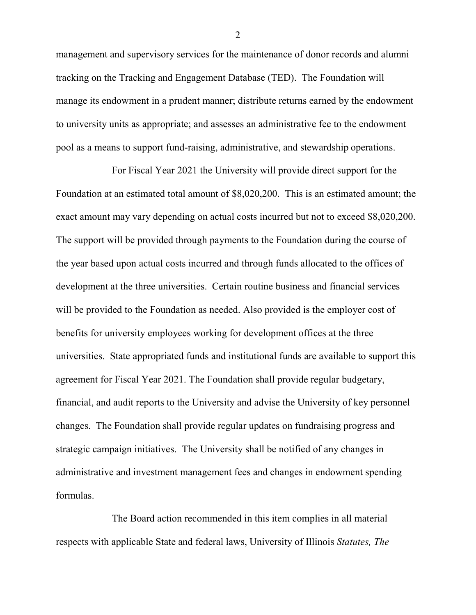management and supervisory services for the maintenance of donor records and alumni tracking on the Tracking and Engagement Database (TED). The Foundation will manage its endowment in a prudent manner; distribute returns earned by the endowment to university units as appropriate; and assesses an administrative fee to the endowment pool as a means to support fund-raising, administrative, and stewardship operations.

For Fiscal Year 2021 the University will provide direct support for the Foundation at an estimated total amount of \$8,020,200. This is an estimated amount; the exact amount may vary depending on actual costs incurred but not to exceed \$8,020,200. The support will be provided through payments to the Foundation during the course of the year based upon actual costs incurred and through funds allocated to the offices of development at the three universities. Certain routine business and financial services will be provided to the Foundation as needed. Also provided is the employer cost of benefits for university employees working for development offices at the three universities. State appropriated funds and institutional funds are available to support this agreement for Fiscal Year 2021. The Foundation shall provide regular budgetary, financial, and audit reports to the University and advise the University of key personnel changes. The Foundation shall provide regular updates on fundraising progress and strategic campaign initiatives. The University shall be notified of any changes in administrative and investment management fees and changes in endowment spending formulas.

The Board action recommended in this item complies in all material respects with applicable State and federal laws, University of Illinois *Statutes, The* 

2